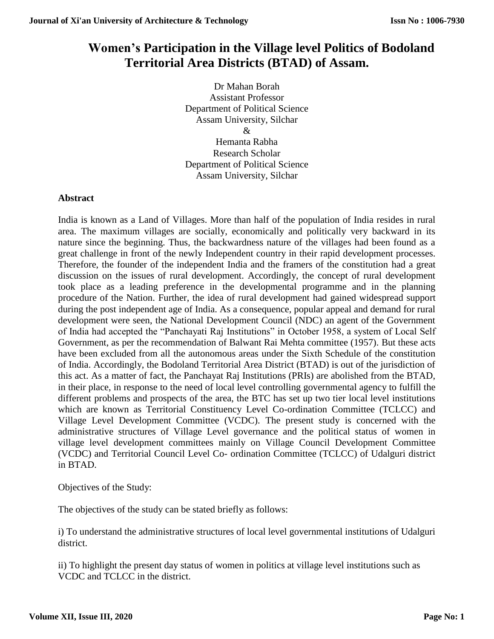# **Women's Participation in the Village level Politics of Bodoland Territorial Area Districts (BTAD) of Assam.**

Dr Mahan Borah Assistant Professor Department of Political Science Assam University, Silchar  $\mathcal{R}$ Hemanta Rabha Research Scholar

Department of Political Science Assam University, Silchar

## **Abstract**

India is known as a Land of Villages. More than half of the population of India resides in rural area. The maximum villages are socially, economically and politically very backward in its nature since the beginning. Thus, the backwardness nature of the villages had been found as a great challenge in front of the newly Independent country in their rapid development processes. Therefore, the founder of the independent India and the framers of the constitution had a great discussion on the issues of rural development. Accordingly, the concept of rural development took place as a leading preference in the developmental programme and in the planning procedure of the Nation. Further, the idea of rural development had gained widespread support during the post independent age of India. As a consequence, popular appeal and demand for rural development were seen, the National Development Council (NDC) an agent of the Government of India had accepted the "Panchayati Raj Institutions" in October 1958, a system of Local Self Government, as per the recommendation of Balwant Rai Mehta committee (1957). But these acts have been excluded from all the autonomous areas under the Sixth Schedule of the constitution of India. Accordingly, the Bodoland Territorial Area District (BTAD) is out of the jurisdiction of this act. As a matter of fact, the Panchayat Raj Institutions (PRIs) are abolished from the BTAD, in their place, in response to the need of local level controlling governmental agency to fulfill the different problems and prospects of the area, the BTC has set up two tier local level institutions which are known as Territorial Constituency Level Co-ordination Committee (TCLCC) and Village Level Development Committee (VCDC). The present study is concerned with the administrative structures of Village Level governance and the political status of women in village level development committees mainly on Village Council Development Committee (VCDC) and Territorial Council Level Co- ordination Committee (TCLCC) of Udalguri district in BTAD.

Objectives of the Study:

The objectives of the study can be stated briefly as follows:

i) To understand the administrative structures of local level governmental institutions of Udalguri district.

ii) To highlight the present day status of women in politics at village level institutions such as VCDC and TCLCC in the district.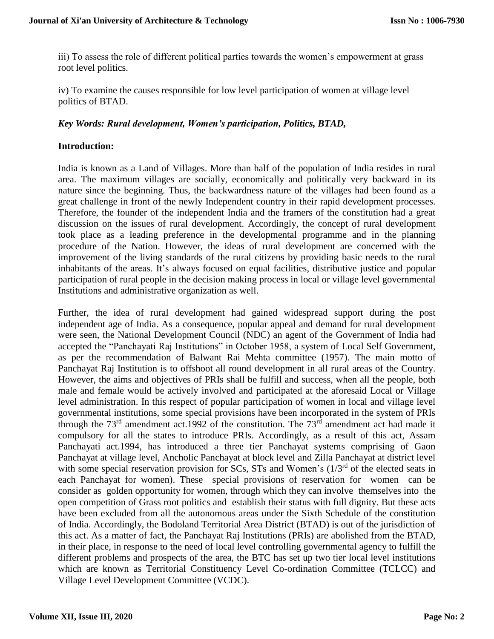iii) To assess the role of different political parties towards the women's empowerment at grass root level politics.

iv) To examine the causes responsible for low level participation of women at village level politics of BTAD.

## *Key Words: Rural development, Women's participation, Politics, BTAD,*

## **Introduction:**

India is known as a Land of Villages. More than half of the population of India resides in rural area. The maximum villages are socially, economically and politically very backward in its nature since the beginning. Thus, the backwardness nature of the villages had been found as a great challenge in front of the newly Independent country in their rapid development processes. Therefore, the founder of the independent India and the framers of the constitution had a great discussion on the issues of rural development. Accordingly, the concept of rural development took place as a leading preference in the developmental programme and in the planning procedure of the Nation. However, the ideas of rural development are concerned with the improvement of the living standards of the rural citizens by providing basic needs to the rural inhabitants of the areas. It's always focused on equal facilities, distributive justice and popular participation of rural people in the decision making process in local or village level governmental Institutions and administrative organization as well.

Further, the idea of rural development had gained widespread support during the post independent age of India. As a consequence, popular appeal and demand for rural development were seen, the National Development Council (NDC) an agent of the Government of India had accepted the "Panchayati Raj Institutions" in October 1958, a system of Local Self Government, as per the recommendation of Balwant Rai Mehta committee (1957). The main motto of Panchayat Raj Institution is to offshoot all round development in all rural areas of the Country. However, the aims and objectives of PRIs shall be fulfill and success, when all the people, both male and female would be actively involved and participated at the aforesaid Local or Village level administration. In this respect of popular participation of women in local and village level governmental institutions, some special provisions have been incorporated in the system of PRIs through the 73<sup>rd</sup> amendment act.1992 of the constitution. The 73<sup>rd</sup> amendment act had made it compulsory for all the states to introduce PRIs. Accordingly, as a result of this act, Assam Panchayati act.1994, has introduced a three tier Panchayat systems comprising of Gaon Panchayat at village level, Ancholic Panchayat at block level and Zilla Panchayat at district level with some special reservation provision for SCs, STs and Women's  $(1/3<sup>rd</sup>$  of the elected seats in each Panchayat for women). These special provisions of reservation for women can be consider as golden opportunity for women, through which they can involve themselves into the open competition of Grass root politics and establish their status with full dignity. But these acts have been excluded from all the autonomous areas under the Sixth Schedule of the constitution of India. Accordingly, the Bodoland Territorial Area District (BTAD) is out of the jurisdiction of this act. As a matter of fact, the Panchayat Raj Institutions (PRIs) are abolished from the BTAD, in their place, in response to the need of local level controlling governmental agency to fulfill the different problems and prospects of the area, the BTC has set up two tier local level institutions which are known as Territorial Constituency Level Co-ordination Committee (TCLCC) and Village Level Development Committee (VCDC).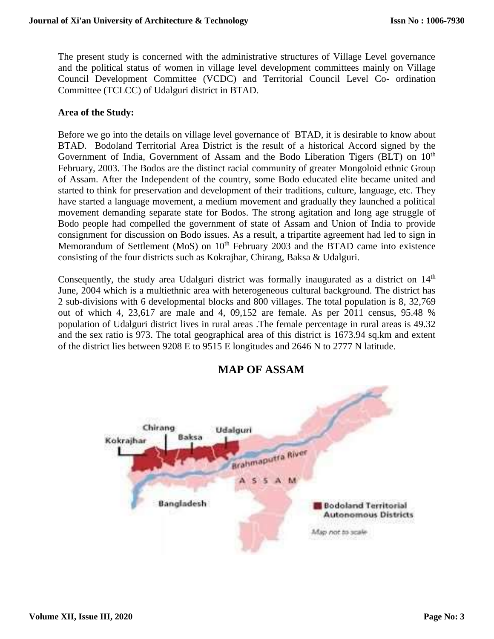The present study is concerned with the administrative structures of Village Level governance and the political status of women in village level development committees mainly on Village Council Development Committee (VCDC) and Territorial Council Level Co- ordination Committee (TCLCC) of Udalguri district in BTAD.

### **Area of the Study:**

Before we go into the details on village level governance of BTAD, it is desirable to know about BTAD. Bodoland Territorial Area District is the result of a historical Accord signed by the Government of India, Government of Assam and the Bodo Liberation Tigers (BLT) on  $10<sup>th</sup>$ February, 2003. The Bodos are the distinct racial community of greater Mongoloid ethnic Group of Assam. After the Independent of the country, some Bodo educated elite became united and started to think for preservation and development of their traditions, culture, language, etc. They have started a language movement, a medium movement and gradually they launched a political movement demanding separate state for Bodos. The strong agitation and long age struggle of Bodo people had compelled the government of state of Assam and Union of India to provide consignment for discussion on Bodo issues. As a result, a tripartite agreement had led to sign in Memorandum of Settlement (MoS) on 10<sup>th</sup> February 2003 and the BTAD came into existence consisting of the four districts such as Kokrajhar, Chirang, Baksa & Udalguri.

Consequently, the study area Udalguri district was formally inaugurated as a district on  $14<sup>th</sup>$ June, 2004 which is a multiethnic area with heterogeneous cultural background. The district has 2 sub-divisions with 6 developmental blocks and 800 villages. The total population is 8, 32,769 out of which 4, 23,617 are male and 4, 09,152 are female. As per 2011 census, 95.48 % population of Udalguri district lives in rural areas .The female percentage in rural areas is 49.32 and the sex ratio is 973. The total geographical area of this district is 1673.94 sq.km and extent of the district lies between 9208 E to 9515 E longitudes and 2646 N to 2777 N latitude.



## **MAP OF ASSAM**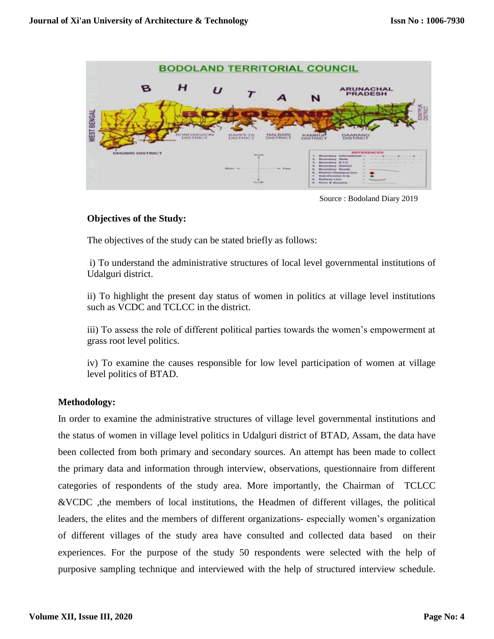

Source : Bodoland Diary 2019

## **Objectives of the Study:**

The objectives of the study can be stated briefly as follows:

i) To understand the administrative structures of local level governmental institutions of Udalguri district.

ii) To highlight the present day status of women in politics at village level institutions such as VCDC and TCLCC in the district.

iii) To assess the role of different political parties towards the women's empowerment at grass root level politics.

iv) To examine the causes responsible for low level participation of women at village level politics of BTAD.

## **Methodology:**

In order to examine the administrative structures of village level governmental institutions and the status of women in village level politics in Udalguri district of BTAD, Assam, the data have been collected from both primary and secondary sources. An attempt has been made to collect the primary data and information through interview, observations, questionnaire from different categories of respondents of the study area. More importantly, the Chairman of TCLCC &VCDC ,the members of local institutions, the Headmen of different villages, the political leaders, the elites and the members of different organizations- especially women's organization of different villages of the study area have consulted and collected data based on their experiences. For the purpose of the study 50 respondents were selected with the help of purposive sampling technique and interviewed with the help of structured interview schedule.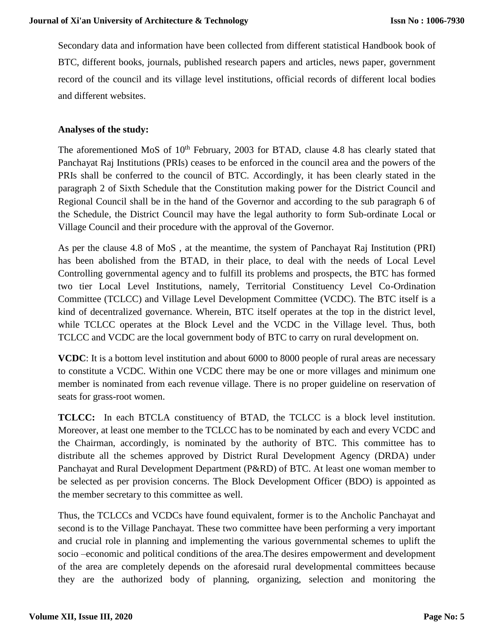Secondary data and information have been collected from different statistical Handbook book of BTC, different books, journals, published research papers and articles, news paper, government record of the council and its village level institutions, official records of different local bodies and different websites.

## **Analyses of the study:**

The aforementioned MoS of  $10<sup>th</sup>$  February, 2003 for BTAD, clause 4.8 has clearly stated that Panchayat Raj Institutions (PRIs) ceases to be enforced in the council area and the powers of the PRIs shall be conferred to the council of BTC. Accordingly, it has been clearly stated in the paragraph 2 of Sixth Schedule that the Constitution making power for the District Council and Regional Council shall be in the hand of the Governor and according to the sub paragraph 6 of the Schedule, the District Council may have the legal authority to form Sub-ordinate Local or Village Council and their procedure with the approval of the Governor.

As per the clause 4.8 of MoS , at the meantime, the system of Panchayat Raj Institution (PRI) has been abolished from the BTAD, in their place, to deal with the needs of Local Level Controlling governmental agency and to fulfill its problems and prospects, the BTC has formed two tier Local Level Institutions, namely, Territorial Constituency Level Co-Ordination Committee (TCLCC) and Village Level Development Committee (VCDC). The BTC itself is a kind of decentralized governance. Wherein, BTC itself operates at the top in the district level, while TCLCC operates at the Block Level and the VCDC in the Village level. Thus, both TCLCC and VCDC are the local government body of BTC to carry on rural development on.

**VCDC**: It is a bottom level institution and about 6000 to 8000 people of rural areas are necessary to constitute a VCDC. Within one VCDC there may be one or more villages and minimum one member is nominated from each revenue village. There is no proper guideline on reservation of seats for grass-root women.

**TCLCC:** In each BTCLA constituency of BTAD, the TCLCC is a block level institution. Moreover, at least one member to the TCLCC has to be nominated by each and every VCDC and the Chairman, accordingly, is nominated by the authority of BTC. This committee has to distribute all the schemes approved by District Rural Development Agency (DRDA) under Panchayat and Rural Development Department (P&RD) of BTC. At least one woman member to be selected as per provision concerns. The Block Development Officer (BDO) is appointed as the member secretary to this committee as well.

Thus, the TCLCCs and VCDCs have found equivalent, former is to the Ancholic Panchayat and second is to the Village Panchayat. These two committee have been performing a very important and crucial role in planning and implementing the various governmental schemes to uplift the socio –economic and political conditions of the area.The desires empowerment and development of the area are completely depends on the aforesaid rural developmental committees because they are the authorized body of planning, organizing, selection and monitoring the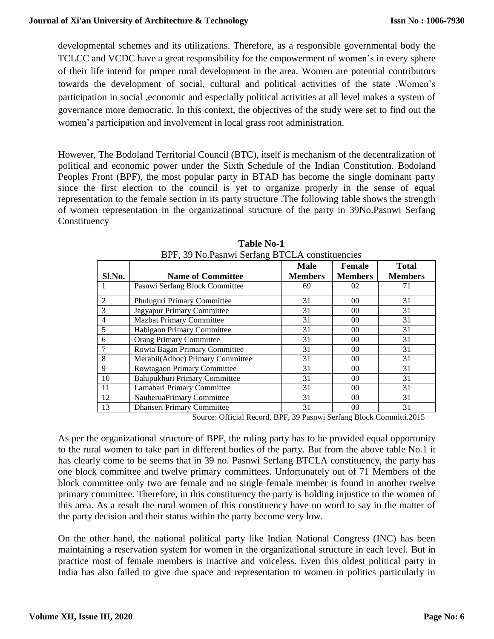developmental schemes and its utilizations. Therefore, as a responsible governmental body the TCLCC and VCDC have a great responsibility for the empowerment of women's in every sphere of their life intend for proper rural development in the area. Women are potential contributors towards the development of social, cultural and political activities of the state .Women's participation in social ,economic and especially political activities at all level makes a system of governance more democratic. In this context, the objectives of the study were set to find out the women's participation and involvement in local grass root administration.

However, The Bodoland Territorial Council (BTC), itself is mechanism of the decentralization of political and economic power under the Sixth Schedule of the Indian Constitution. Bodoland Peoples Front (BPF), the most popular party in BTAD has become the single dominant party since the first election to the council is yet to organize properly in the sense of equal representation to the female section in its party structure .The following table shows the strength of women representation in the organizational structure of the party in 39No.Pasnwi Serfang Constituency

| Sl.No.         | <b>Name of Committee</b>          | <b>Male</b><br><b>Members</b> | Female<br><b>Members</b> | <b>Total</b><br><b>Members</b> |
|----------------|-----------------------------------|-------------------------------|--------------------------|--------------------------------|
| 1              | Pasnwi Serfang Block Committee    | 69                            | 02                       | 71                             |
| 2              | Phuluguri Primary Committee       | 31                            | 00                       | 31                             |
| 3              | Jagyapur Primary Committee        | 31                            | 00                       | 31                             |
| $\overline{4}$ | <b>Mazbat Primary Committee</b>   | 31                            | 00 <sup>0</sup>          | 31                             |
| 5              | Habigaon Primary Committee        | 31                            | 00                       | 31                             |
| 6              | <b>Orang Primary Committee</b>    | 31                            | 00                       | 31                             |
| 7              | Rowta Bagan Primary Committee     | 31                            | 00 <sup>0</sup>          | 31                             |
| 8              | Merabil(Adhoc) Primary Committee  | 31                            | 00                       | 31                             |
| 9              | Rowtagaon Primary Committee       | 31                            | 00                       | 31                             |
| 10             | Bahipukhuri Primary Committee     | 31                            | 00                       | 31                             |
| 11             | Lamabari Primary Committee        | 31                            | 00 <sup>0</sup>          | 31                             |
| 12             | NauheruaPrimary Committee         | 31                            | 00                       | 31                             |
| 13             | <b>Dhanseri Primary Committee</b> | 31                            | 0 <sup>0</sup>           | 31                             |

**Table No-1** BPF, 39 No.Pasnwi Serfang BTCLA constituencies

Source: Official Record, BPF, 39 Pasnwi Serfang Block Committi.2015

As per the organizational structure of BPF, the ruling party has to be provided equal opportunity to the rural women to take part in different bodies of the party. But from the above table No.1 it has clearly come to be seems that in 39 no. Pasnwi Serfang BTCLA constituency, the party has one block committee and twelve primary committees. Unfortunately out of 71 Members of the block committee only two are female and no single female member is found in another twelve primary committee. Therefore, in this constituency the party is holding injustice to the women of this area. As a result the rural women of this constituency have no word to say in the matter of the party decision and their status within the party become very low.

On the other hand, the national political party like Indian National Congress (INC) has been maintaining a reservation system for women in the organizational structure in each level. But in practice most of female members is inactive and voiceless. Even this oldest political party in India has also failed to give due space and representation to women in politics particularly in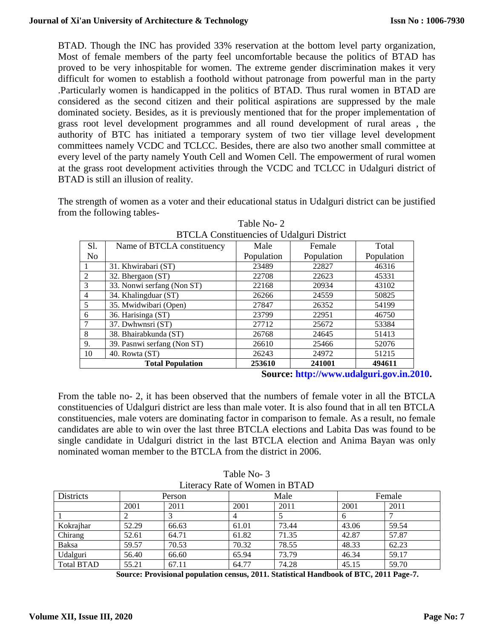BTAD. Though the INC has provided 33% reservation at the bottom level party organization, Most of female members of the party feel uncomfortable because the politics of BTAD has proved to be very inhospitable for women. The extreme gender discrimination makes it very difficult for women to establish a foothold without patronage from powerful man in the party .Particularly women is handicapped in the politics of BTAD. Thus rural women in BTAD are considered as the second citizen and their political aspirations are suppressed by the male dominated society. Besides, as it is previously mentioned that for the proper implementation of grass root level development programmes and all round development of rural areas , the authority of BTC has initiated a temporary system of two tier village level development committees namely VCDC and TCLCC. Besides, there are also two another small committee at every level of the party namely Youth Cell and Women Cell. The empowerment of rural women at the grass root development activities through the VCDC and TCLCC in Udalguri district of BTAD is still an illusion of reality.

The strength of women as a voter and their educational status in Udalguri district can be justified from the following tables-

| DTCLA CONSUMERIES OF OURIGIN DISTRICT |                             |            |            |            |  |  |
|---------------------------------------|-----------------------------|------------|------------|------------|--|--|
| S1.                                   | Name of BTCLA constituency  | Male       | Female     | Total      |  |  |
| No.                                   |                             | Population | Population | Population |  |  |
|                                       | 31. Khwirabari (ST)         | 23489      | 22827      | 46316      |  |  |
| $\mathcal{L}$                         | 32. Bhergaon (ST)           | 22708      | 22623      | 45331      |  |  |
| 3                                     | 33. Nonwi serfang (Non ST)  | 22168      | 20934      | 43102      |  |  |
| $\overline{4}$                        | 34. Khalingduar (ST)        | 26266      | 24559      | 50825      |  |  |
| 5                                     | 35. Mwidwibari (Open)       | 27847      | 26352      | 54199      |  |  |
| 6                                     | 36. Harisinga (ST)          | 23799      | 22951      | 46750      |  |  |
|                                       | 37. Dwhwnsri (ST)           | 27712      | 25672      | 53384      |  |  |
| 8                                     | 38. Bhairabkunda (ST)       | 26768      | 24645      | 51413      |  |  |
| 9.                                    | 39. Pasnwi serfang (Non ST) | 26610      | 25466      | 52076      |  |  |
| 10                                    | 40. Rowta (ST)              | 26243      | 24972      | 51215      |  |  |
|                                       | <b>Total Population</b>     | 253610     | 241001     | 494611     |  |  |

Table No- 2 BTCLA Constituencies of Udalguri District

**Source: [http://www.udalguri.gov.in.2010.](http://www.udalguri.gov.in.2010/)**

From the table no- 2, it has been observed that the numbers of female voter in all the BTCLA constituencies of Udalguri district are less than male voter. It is also found that in all ten BTCLA constituencies, male voters are dominating factor in comparison to female. As a result, no female candidates are able to win over the last three BTCLA elections and Labita Das was found to be single candidate in Udalguri district in the last BTCLA election and Anima Bayan was only nominated woman member to the BTCLA from the district in 2006.

| Literacy Rate of Women in BTAD |        |       |       |       |        |       |
|--------------------------------|--------|-------|-------|-------|--------|-------|
| <b>Districts</b>               | Person |       | Male  |       | Female |       |
|                                | 2001   | 2011  | 2001  | 2011  | 2001   | 2011  |
|                                |        |       |       |       | 6      |       |
| Kokrajhar                      | 52.29  | 66.63 | 61.01 | 73.44 | 43.06  | 59.54 |
| Chirang                        | 52.61  | 64.71 | 61.82 | 71.35 | 42.87  | 57.87 |
| Baksa                          | 59.57  | 70.53 | 70.32 | 78.55 | 48.33  | 62.23 |
| Udalguri                       | 56.40  | 66.60 | 65.94 | 73.79 | 46.34  | 59.17 |
| <b>Total BTAD</b>              | 55.21  | 67.11 | 64.77 | 74.28 | 45.15  | 59.70 |

Table No- 3 Literacy Rate of Women in BTAD

**Source: Provisional population census, 2011. Statistical Handbook of BTC, 2011 Page-7.**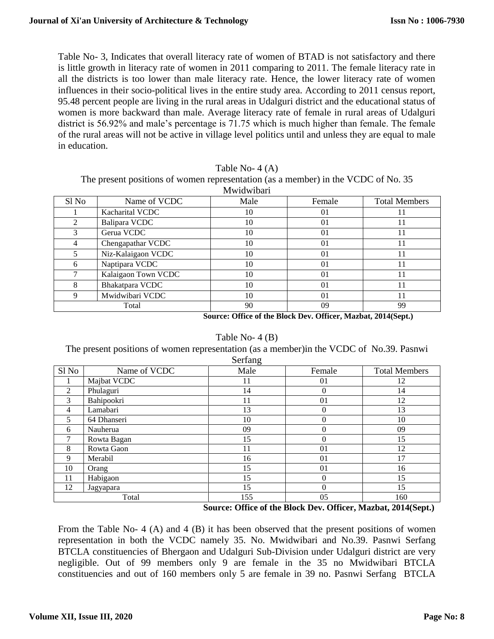Table No- 3, Indicates that overall literacy rate of women of BTAD is not satisfactory and there is little growth in literacy rate of women in 2011 comparing to 2011. The female literacy rate in all the districts is too lower than male literacy rate. Hence, the lower literacy rate of women influences in their socio-political lives in the entire study area. According to 2011 census report, 95.48 percent people are living in the rural areas in Udalguri district and the educational status of women is more backward than male. Average literacy rate of female in rural areas of Udalguri district is 56.92% and male's percentage is 71.75 which is much higher than female. The female of the rural areas will not be active in village level politics until and unless they are equal to male in education.

|  | Table No- 4 (A) |  |
|--|-----------------|--|
|  |                 |  |

The present positions of women representation (as a member) in the VCDC of No. 35 Mwidwibari

| ************** |                     |      |                |                      |  |
|----------------|---------------------|------|----------------|----------------------|--|
| Sl No          | Name of VCDC        | Male | Female         | <b>Total Members</b> |  |
|                | Kacharital VCDC     | 10   | 01             |                      |  |
| $\mathcal{L}$  | Balipara VCDC       | 10   | 01             |                      |  |
|                | Gerua VCDC          | 10   | 01             |                      |  |
|                | Chengapathar VCDC   | 10   | 01             |                      |  |
|                | Niz-Kalaigaon VCDC  | 10   | 01             |                      |  |
| 6              | Naptipara VCDC      | 10   | $\Omega$       |                      |  |
|                | Kalaigaon Town VCDC | 10   | 01             |                      |  |
| 8              | Bhakatpara VCDC     | 10   | $\Omega$       |                      |  |
| 9              | Mwidwibari VCDC     | 10   | 0 <sub>1</sub> |                      |  |
| Total          |                     | 90   | 09             | 99                   |  |

**Source: Office of the Block Dev. Officer, Mazbat, 2014(Sept.)**

#### Table No- 4 (B)

The present positions of women representation (as a member)in the VCDC of No.39. Pasnwi Serfang

| 5.144          |              |      |        |                      |  |  |
|----------------|--------------|------|--------|----------------------|--|--|
| Sl No          | Name of VCDC | Male | Female | <b>Total Members</b> |  |  |
|                | Majbat VCDC  | 11   | 01     | 12                   |  |  |
| 2              | Phulaguri    | 14   | 0      | 14                   |  |  |
| 3              | Bahipookri   | 11   | 01     | 12                   |  |  |
| $\overline{4}$ | Lamabari     | 13   | 0      | 13                   |  |  |
| 5              | 64 Dhanseri  | 10   | 0      | 10                   |  |  |
| 6              | Nauherua     | 09   | 0      | 09                   |  |  |
| ┑              | Rowta Bagan  | 15   | 0      | 15                   |  |  |
| 8              | Rowta Gaon   | 11   | 01     | 12                   |  |  |
| 9              | Merabil      | 16   | 01     | 17                   |  |  |
| 10             | Orang        | 15   | 01     | 16                   |  |  |
| 11             | Habigaon     | 15   | 0      | 15                   |  |  |
| 12             | Jagyapara    | 15   | 0      | 15                   |  |  |
| Total          |              | 155  | 05     | 160                  |  |  |

#### **Source: Office of the Block Dev. Officer, Mazbat, 2014(Sept.)**

From the Table No- 4 (A) and 4 (B) it has been observed that the present positions of women representation in both the VCDC namely 35. No. Mwidwibari and No.39. Pasnwi Serfang BTCLA constituencies of Bhergaon and Udalguri Sub-Division under Udalguri district are very negligible. Out of 99 members only 9 are female in the 35 no Mwidwibari BTCLA constituencies and out of 160 members only 5 are female in 39 no. Pasnwi Serfang BTCLA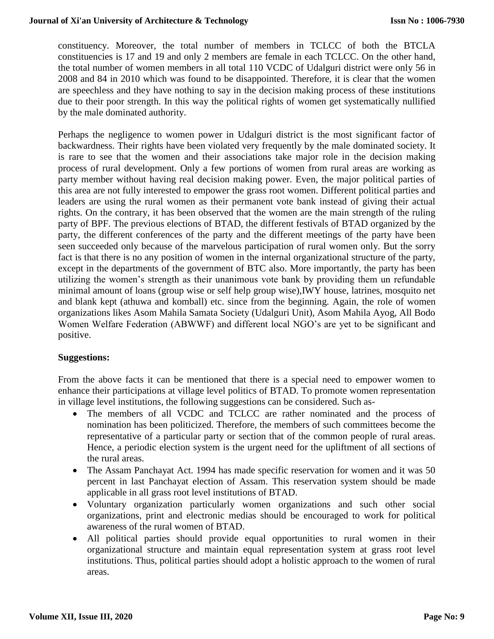constituency. Moreover, the total number of members in TCLCC of both the BTCLA constituencies is 17 and 19 and only 2 members are female in each TCLCC. On the other hand, the total number of women members in all total 110 VCDC of Udalguri district were only 56 in 2008 and 84 in 2010 which was found to be disappointed. Therefore, it is clear that the women are speechless and they have nothing to say in the decision making process of these institutions due to their poor strength. In this way the political rights of women get systematically nullified by the male dominated authority.

Perhaps the negligence to women power in Udalguri district is the most significant factor of backwardness. Their rights have been violated very frequently by the male dominated society. It is rare to see that the women and their associations take major role in the decision making process of rural development. Only a few portions of women from rural areas are working as party member without having real decision making power. Even, the major political parties of this area are not fully interested to empower the grass root women. Different political parties and leaders are using the rural women as their permanent vote bank instead of giving their actual rights. On the contrary, it has been observed that the women are the main strength of the ruling party of BPF. The previous elections of BTAD, the different festivals of BTAD organized by the party, the different conferences of the party and the different meetings of the party have been seen succeeded only because of the marvelous participation of rural women only. But the sorry fact is that there is no any position of women in the internal organizational structure of the party, except in the departments of the government of BTC also. More importantly, the party has been utilizing the women's strength as their unanimous vote bank by providing them un refundable minimal amount of loans (group wise or self help group wise),IWY house, latrines, mosquito net and blank kept (athuwa and komball) etc. since from the beginning. Again, the role of women organizations likes Asom Mahila Samata Society (Udalguri Unit), Asom Mahila Ayog, All Bodo Women Welfare Federation (ABWWF) and different local NGO's are yet to be significant and positive.

## **Suggestions:**

From the above facts it can be mentioned that there is a special need to empower women to enhance their participations at village level politics of BTAD. To promote women representation in village level institutions, the following suggestions can be considered. Such as-

- The members of all VCDC and TCLCC are rather nominated and the process of nomination has been politicized. Therefore, the members of such committees become the representative of a particular party or section that of the common people of rural areas. Hence, a periodic election system is the urgent need for the upliftment of all sections of the rural areas.
- The Assam Panchayat Act. 1994 has made specific reservation for women and it was 50 percent in last Panchayat election of Assam. This reservation system should be made applicable in all grass root level institutions of BTAD.
- Voluntary organization particularly women organizations and such other social organizations, print and electronic medias should be encouraged to work for political awareness of the rural women of BTAD.
- All political parties should provide equal opportunities to rural women in their organizational structure and maintain equal representation system at grass root level institutions. Thus, political parties should adopt a holistic approach to the women of rural areas.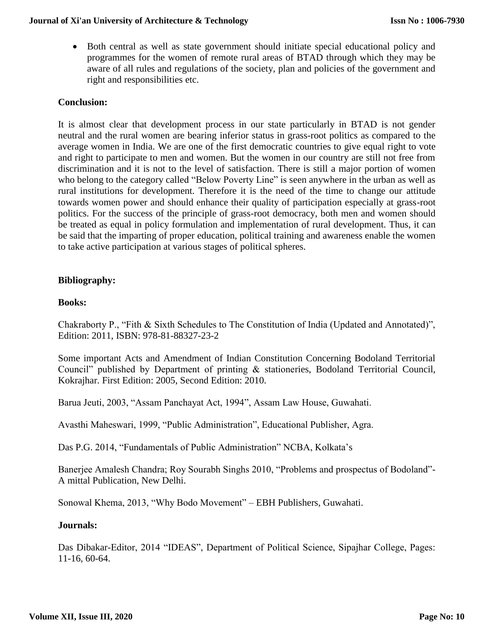Both central as well as state government should initiate special educational policy and programmes for the women of remote rural areas of BTAD through which they may be aware of all rules and regulations of the society, plan and policies of the government and right and responsibilities etc.

## **Conclusion:**

It is almost clear that development process in our state particularly in BTAD is not gender neutral and the rural women are bearing inferior status in grass-root politics as compared to the average women in India. We are one of the first democratic countries to give equal right to vote and right to participate to men and women. But the women in our country are still not free from discrimination and it is not to the level of satisfaction. There is still a major portion of women who belong to the category called "Below Poverty Line" is seen anywhere in the urban as well as rural institutions for development. Therefore it is the need of the time to change our attitude towards women power and should enhance their quality of participation especially at grass-root politics. For the success of the principle of grass-root democracy, both men and women should be treated as equal in policy formulation and implementation of rural development. Thus, it can be said that the imparting of proper education, political training and awareness enable the women to take active participation at various stages of political spheres.

## **Bibliography:**

## **Books:**

Chakraborty P., "Fith & Sixth Schedules to The Constitution of India (Updated and Annotated)", Edition: 2011, ISBN: 978-81-88327-23-2

Some important Acts and Amendment of Indian Constitution Concerning Bodoland Territorial Council" published by Department of printing & stationeries, Bodoland Territorial Council, Kokrajhar. First Edition: 2005, Second Edition: 2010.

Barua Jeuti, 2003, "Assam Panchayat Act, 1994", Assam Law House, Guwahati.

Avasthi Maheswari, 1999, "Public Administration", Educational Publisher, Agra.

Das P.G. 2014, "Fundamentals of Public Administration" NCBA, Kolkata's

Banerjee Amalesh Chandra; Roy Sourabh Singhs 2010, "Problems and prospectus of Bodoland"- A mittal Publication, New Delhi.

Sonowal Khema, 2013, "Why Bodo Movement" – EBH Publishers, Guwahati.

## **Journals:**

Das Dibakar-Editor, 2014 "IDEAS", Department of Political Science, Sipajhar College, Pages: 11-16, 60-64.